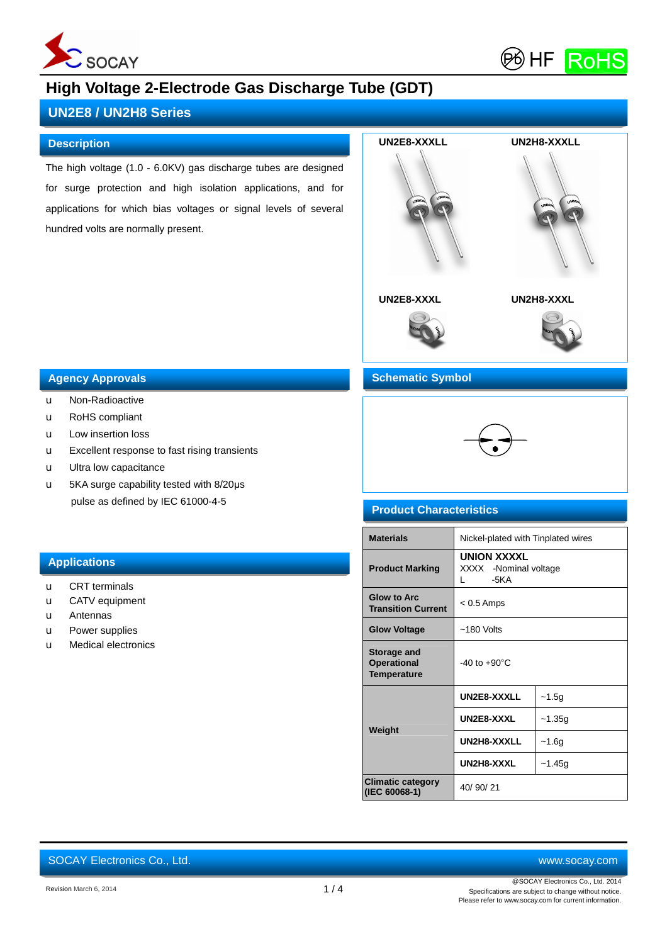



# **UN2E8 / UN2H8 Series**

#### **Description**

The high voltage (1.0 - 6.0KV) gas discharge tubes are designed for surge protection and high isolation applications, and for applications for which bias voltages or signal levels of several hundred volts are normally present.



#### **Agency Approvals Features**

- u Non-Radioactive
- u RoHS compliant
- u Low insertion loss
- u Excellent response to fast rising transients
- u Ultra low capacitance
- u 5KA surge capability tested with 8/20μs pulse as defined by IEC 61000-4-5

## **Schematic Symbol**



## **Product Characteristics**

| <b>Materials</b>                                 | Nickel-plated with Tinplated wires                                    |          |
|--------------------------------------------------|-----------------------------------------------------------------------|----------|
| <b>Product Marking</b>                           | <b>UNION XXXXL</b><br>XXXX -Nominal voltage<br>$-5KA$<br>$\mathbf{L}$ |          |
| <b>Glow to Arc.</b><br><b>Transition Current</b> | $< 0.5$ Amps                                                          |          |
| <b>Glow Voltage</b>                              | $~180$ Volts                                                          |          |
| Storage and<br><b>Operational</b><br>Temperature | $-40$ to $+90^{\circ}$ C                                              |          |
|                                                  | UN2E8-XXXLL                                                           | $-1.5g$  |
| Weight                                           | UN2E8-XXXL                                                            | $-1.35g$ |
|                                                  | UN2H8-XXXLL                                                           | $-1.6g$  |
|                                                  | UN2H8-XXXL<br>$-1.45g$                                                |          |
| <b>Climatic category</b><br>(IEC 60068-1)        | 40/90/21                                                              |          |

## **Applications**

- u CRT terminals
- u CATV equipment
- u Antennas
- u Power supplies
- u Medical electronics

SOCAY Electronics Co., Ltd. [www.socay.com](http://www.socay.com)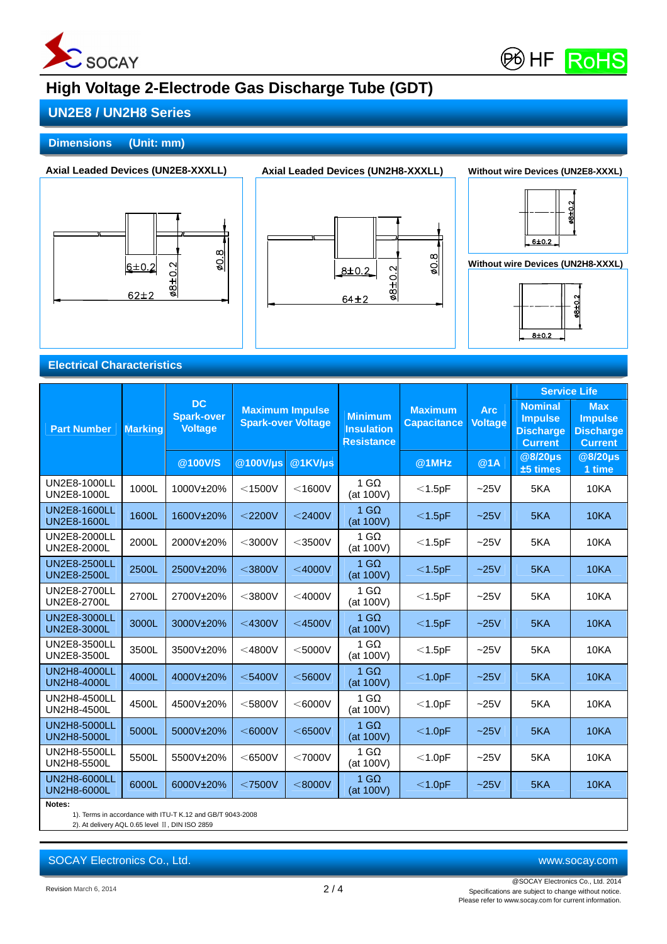



## **UN2E8 / UN2H8 Series**

## **Dimensions (Unit: mm)**









## **Electrical Characteristics**

|                                           |                |                                                  |                           |                        |                                                          |                                      |                              | <b>Service Life</b>                                                    |                                                                    |
|-------------------------------------------|----------------|--------------------------------------------------|---------------------------|------------------------|----------------------------------------------------------|--------------------------------------|------------------------------|------------------------------------------------------------------------|--------------------------------------------------------------------|
| <b>Part Number</b>                        | <b>Marking</b> | <b>DC</b><br><b>Spark-over</b><br><b>Voltage</b> | <b>Spark-over Voltage</b> | <b>Maximum Impulse</b> | <b>Minimum</b><br><b>Insulation</b><br><b>Resistance</b> | <b>Maximum</b><br><b>Capacitance</b> | <b>Arc</b><br><b>Voltage</b> | <b>Nominal</b><br><b>Impulse</b><br><b>Discharge</b><br><b>Current</b> | <b>Max</b><br><b>Impulse</b><br><b>Discharge</b><br><b>Current</b> |
|                                           |                | @100V/S                                          | @100V/µs                  | @1KV/µs                |                                                          | @1MHz                                | @1A                          | @8/20µs<br>±5 times                                                    | @8/20µs<br>1 time                                                  |
| UN2E8-1000LL<br>UN2E8-1000L               | 1000L          | 1000V±20%                                        | $<$ 1500V                 | $<$ 1600V              | 1 G $\Omega$<br>(at 100V)                                | $<$ 1.5pF                            | $-25V$                       | 5KA                                                                    | <b>10KA</b>                                                        |
| <b>UN2E8-1600LL</b><br><b>UN2E8-1600L</b> | 1600L          | 1600V±20%                                        | $<$ 2200V                 | $<$ 2400V              | 1 G $\Omega$<br>(at 100V)                                | $<$ 1.5pF                            | $-25V$                       | 5KA                                                                    | <b>10KA</b>                                                        |
| UN2E8-2000LL<br>UN2E8-2000L               | 2000L          | 2000V±20%                                        | $<$ 3000V                 | $<$ 3500V              | 1 G $\Omega$<br>(at 100V)                                | $<$ 1.5pF                            | $-25V$                       | 5KA                                                                    | 10KA                                                               |
| <b>UN2E8-2500LL</b><br>UN2E8-2500L        | 2500L          | 2500V±20%                                        | $<$ 3800V                 | $<$ 4000V              | $1$ GQ<br>(at 100V)                                      | $<$ 1.5pF                            | $-25V$                       | 5KA                                                                    | <b>10KA</b>                                                        |
| UN2E8-2700LL<br>UN2E8-2700L               | 2700L          | 2700V±20%                                        | $<$ 3800V                 | $<$ 4000V              | 1 G $\Omega$<br>(at 100V)                                | $<$ 1.5pF                            | $-25V$                       | 5KA                                                                    | <b>10KA</b>                                                        |
| <b>UN2E8-3000LL</b><br>UN2E8-3000L        | 3000L          | 3000V±20%                                        | $<$ 4300V                 | $<$ 4500V              | $1$ G $\Omega$<br>(at 100V)                              | $<$ 1.5pF                            | $-25V$                       | 5KA                                                                    | <b>10KA</b>                                                        |
| UN2E8-3500LL<br>UN2E8-3500L               | 3500L          | 3500V±20%                                        | $<$ 4800V                 | $<$ 5000V              | 1 G $\Omega$<br>(at 100V)                                | $<$ 1.5pF                            | $-25V$                       | 5KA                                                                    | 10KA                                                               |
| UN2H8-4000LL<br>UN2H8-4000L               | 4000L          | 4000V±20%                                        | $<$ 5400V                 | $<$ 5600V              | $1$ G $\Omega$<br>(at 100V)                              | $<$ 1.0pF                            | $-25V$                       | 5KA                                                                    | <b>10KA</b>                                                        |
| UN2H8-4500LL<br>UN2H8-4500L               | 4500L          | 4500V±20%                                        | $<$ 5800V                 | $<$ 6000V              | $1$ GQ<br>(at 100V)                                      | $<$ 1.0pF                            | ~25V                         | 5KA                                                                    | 10KA                                                               |
| <b>UN2H8-5000LL</b><br><b>UN2H8-5000L</b> | 5000L          | 5000V±20%                                        | $<$ 6000V                 | $<$ 6500V              | $1$ GQ<br>(at 100V)                                      | $<$ 1.0pF                            | $-25V$                       | 5KA                                                                    | <b>10KA</b>                                                        |
| UN2H8-5500LL<br>UN2H8-5500L               | 5500L          | 5500V±20%                                        | $<$ 6500V                 | $<$ 7000V              | $1 \text{ G}\Omega$<br>(at 100V)                         | $<$ 1.0pF                            | $-25V$                       | 5KA                                                                    | <b>10KA</b>                                                        |
| UN2H8-6000LL<br>UN2H8-6000L               | 6000L          | 6000V±20%                                        | $<$ 7500V                 | $<$ 8000V              | $1$ G $\Omega$<br>(at 100V)                              | $<$ 1.0pF                            | $-25V$                       | 5KA                                                                    | <b>10KA</b>                                                        |
| Notes:                                    |                |                                                  |                           |                        |                                                          |                                      |                              |                                                                        |                                                                    |

1). Terms in accordance with ITU-T K.12 and GB/T 9043-2008

2). At delivery AQL 0.65 level Ⅱ, DIN ISO 2859

SOCAY Electronics Co., Ltd. [www.socay.com](http://www.socay.com)

Revision March 6, 2014 2 / 4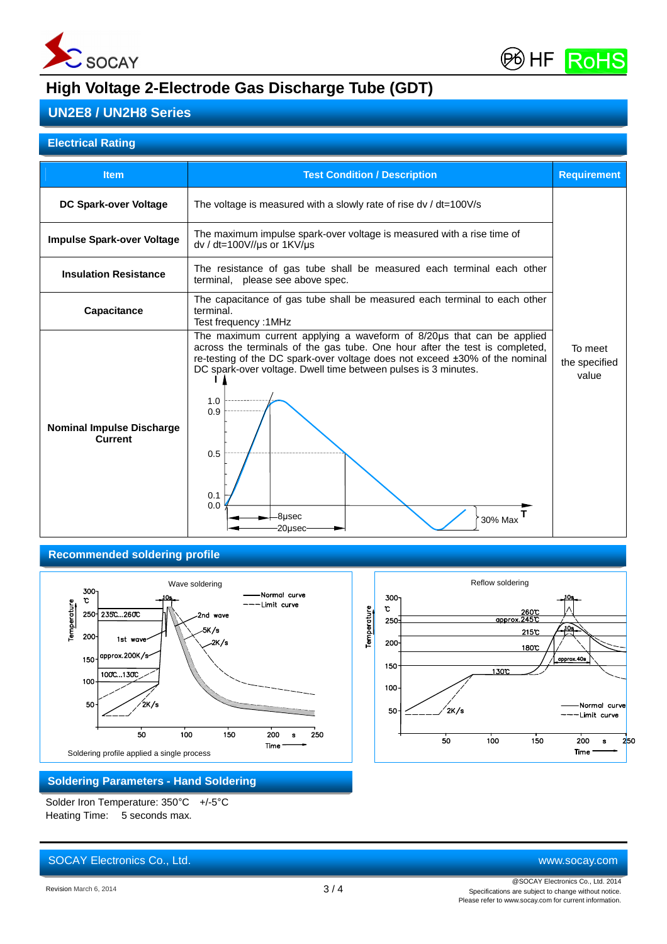



## **UN2E8 / UN2H8 Series**

## **Electrical Rating**

| <b>Item</b>                                        | <b>Test Condition / Description</b>                                                                                                                                                                                                                                                                                                                                      | <b>Requirement</b>                |
|----------------------------------------------------|--------------------------------------------------------------------------------------------------------------------------------------------------------------------------------------------------------------------------------------------------------------------------------------------------------------------------------------------------------------------------|-----------------------------------|
| DC Spark-over Voltage                              | The voltage is measured with a slowly rate of rise $dv / dt = 100V/s$                                                                                                                                                                                                                                                                                                    |                                   |
| <b>Impulse Spark-over Voltage</b>                  | The maximum impulse spark-over voltage is measured with a rise time of<br>dv / dt=100V//us or 1KV/us                                                                                                                                                                                                                                                                     |                                   |
| <b>Insulation Resistance</b>                       | The resistance of gas tube shall be measured each terminal each other<br>terminal, please see above spec.                                                                                                                                                                                                                                                                |                                   |
| <b>Capacitance</b>                                 | The capacitance of gas tube shall be measured each terminal to each other<br>terminal.<br>Test frequency: 1MHz                                                                                                                                                                                                                                                           |                                   |
| <b>Nominal Impulse Discharge</b><br><b>Current</b> | The maximum current applying a waveform of 8/20µs that can be applied<br>across the terminals of the gas tube. One hour after the test is completed,<br>re-testing of the DC spark-over voltage does not exceed ±30% of the nominal<br>DC spark-over voltage. Dwell time between pulses is 3 minutes.<br>1.0<br>0.9<br>0.5<br>0.1<br>0.0<br>-8µsec<br>30% Max<br>20µsec- | To meet<br>the specified<br>value |

#### **Recommended soldering profile**





## **Soldering Parameters - Hand Soldering**

Solder Iron Temperature: 350°C +/-5°C Heating Time: 5 seconds max.

# SOCAY Electronics Co., Ltd. [www.socay.com](http://www.socay.com)

@SOCAY Electronics Co., Ltd. 2014 Specifications are subject to change without notice. Please refer to [www.socay.com](http://www.socay.com) for current information.